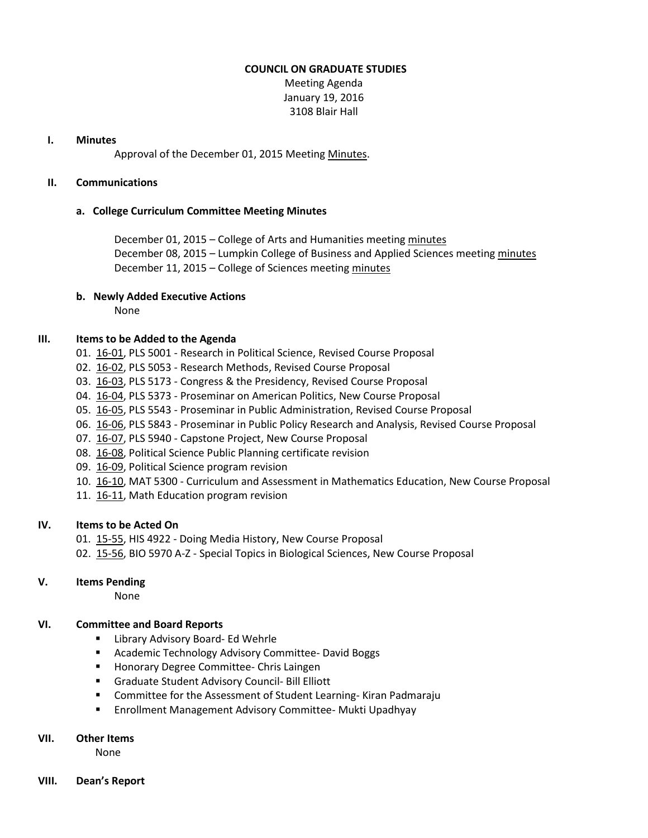#### **COUNCIL ON GRADUATE STUDIES**

Meeting Agenda January 19, 2016 3108 Blair Hall

#### **I. Minutes**

Approval of the December 01, 2015 Meeting [Minutes.](http://castle.eiu.edu/eiucgs/currentminutes/Minutes12-01-15.pdf)

#### **II. Communications**

#### **a. College Curriculum Committee Meeting Minutes**

December 01, 2015 – College of Arts and Humanities meetin[g minutes](http://castle.eiu.edu/~eiucgs/currentagendaitems/CAHMin12-01-15.pdf) December 08, 2015 – Lumpkin College of Business and Applied Sciences meetin[g minutes](http://castle.eiu.edu/~eiucgs/currentagendaitems/LCBASMin12-08-15.pdf) December 11, 2015 – College of Sciences meetin[g minutes](http://castle.eiu.edu/~eiucgs/currentagendaitems/COSMin12-11-15.pdf)

# **b. Newly Added Executive Actions**

None

# **III. Items to be Added to the Agenda**

- 01. [16-01,](http://castle.eiu.edu/~eiucgs/currentagendaitems/agenda16-01.pdf) PLS 5001 Research in Political Science, Revised Course Proposal
- 02. [16-02,](http://castle.eiu.edu/~eiucgs/currentagendaitems/agenda16-02.pdf) PLS 5053 Research Methods, Revised Course Proposal
- 03. [16-03,](http://castle.eiu.edu/~eiucgs/currentagendaitems/agenda16-03.pdf) PLS 5173 Congress & the Presidency, Revised Course Proposal
- 04. [16-04,](http://castle.eiu.edu/~eiucgs/currentagendaitems/agenda16-04.pdf) PLS 5373 Proseminar on American Politics, New Course Proposal
- 05. [16-05,](http://castle.eiu.edu/~eiucgs/currentagendaitems/agenda16-05.pdf) PLS 5543 Proseminar in Public Administration, Revised Course Proposal
- 06. [16-06,](http://castle.eiu.edu/~eiucgs/currentagendaitems/agenda16-06.pdf) PLS 5843 Proseminar in Public Policy Research and Analysis, Revised Course Proposal
- 07. [16-07,](http://castle.eiu.edu/~eiucgs/currentagendaitems/agenda16-07.pdf) PLS 5940 Capstone Project, New Course Proposal
- 08. [16-08,](http://castle.eiu.edu/~eiucgs/currentagendaitems/agenda16-08.pdf) Political Science Public Planning certificate revision
- 09. [16-09,](http://castle.eiu.edu/~eiucgs/currentagendaitems/agenda16-09.pdf) Political Science program revision
- 10. [16-10,](http://castle.eiu.edu/~eiucgs/currentagendaitems/agenda16-10.pdf) MAT 5300 Curriculum and Assessment in Mathematics Education, New Course Proposal
- 11. [16-11,](http://castle.eiu.edu/~eiucgs/currentagendaitems/agenda16-11.pdf) Math Education program revision

# **IV. Items to be Acted On**

- 01. [15-55,](http://castle.eiu.edu/~eiucgs/currentagendaitems/agenda15-55.pdf) HIS 4922 Doing Media History, New Course Proposal
- 02. [15-56,](http://castle.eiu.edu/~eiucgs/currentagendaitems/agenda15-56.pdf) BIO 5970 A-Z Special Topics in Biological Sciences, New Course Proposal

# **V. Items Pending**

None

# **VI. Committee and Board Reports**

- **E** Library Advisory Board- Ed Wehrle
- Academic Technology Advisory Committee- David Boggs
- **Honorary Degree Committee- Chris Laingen**
- Graduate Student Advisory Council- Bill Elliott
- Committee for the Assessment of Student Learning- Kiran Padmaraju
- **Enrollment Management Advisory Committee- Mukti Upadhyay**

#### **VII. Other Items**

None

**VIII. Dean's Report**